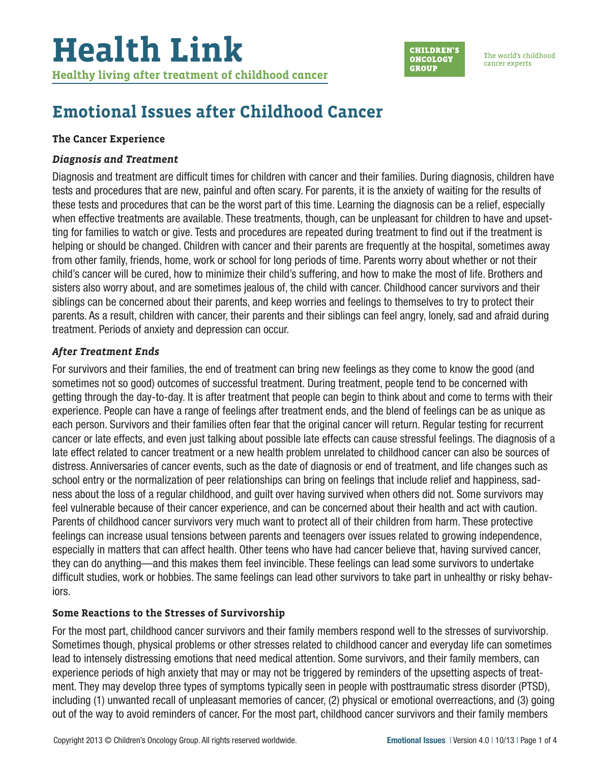

The world's childhood cancer experts

### **Emotional Issues after Childhood Cancer**

#### **The Cancer Experience**

#### *Diagnosis and Treatment*

Diagnosis and treatment are difficult times for children with cancer and their families. During diagnosis, children have tests and procedures that are new, painful and often scary. For parents, it is the anxiety of waiting for the results of these tests and procedures that can be the worst part of this time. Learning the diagnosis can be a relief, especially when effective treatments are available. These treatments, though, can be unpleasant for children to have and upsetting for families to watch or give. Tests and procedures are repeated during treatment to find out if the treatment is helping or should be changed. Children with cancer and their parents are frequently at the hospital, sometimes away from other family, friends, home, work or school for long periods of time. Parents worry about whether or not their child's cancer will be cured, how to minimize their child's suffering, and how to make the most of life. Brothers and sisters also worry about, and are sometimes jealous of, the child with cancer. Childhood cancer survivors and their siblings can be concerned about their parents, and keep worries and feelings to themselves to try to protect their parents. As a result, children with cancer, their parents and their siblings can feel angry, lonely, sad and afraid during treatment. Periods of anxiety and depression can occur.

#### *After Treatment Ends*

For survivors and their families, the end of treatment can bring new feelings as they come to know the good (and sometimes not so good) outcomes of successful treatment. During treatment, people tend to be concerned with getting through the day-to-day. It is after treatment that people can begin to think about and come to terms with their experience. People can have a range of feelings after treatment ends, and the blend of feelings can be as unique as each person. Survivors and their families often fear that the original cancer will return. Regular testing for recurrent cancer or late effects, and even just talking about possible late effects can cause stressful feelings. The diagnosis of a late effect related to cancer treatment or a new health problem unrelated to childhood cancer can also be sources of distress. Anniversaries of cancer events, such as the date of diagnosis or end of treatment, and life changes such as school entry or the normalization of peer relationships can bring on feelings that include relief and happiness, sadness about the loss of a regular childhood, and guilt over having survived when others did not. Some survivors may feel vulnerable because of their cancer experience, and can be concerned about their health and act with caution. Parents of childhood cancer survivors very much want to protect all of their children from harm. These protective feelings can increase usual tensions between parents and teenagers over issues related to growing independence, especially in matters that can affect health. Other teens who have had cancer believe that, having survived cancer, they can do anything—and this makes them feel invincible. These feelings can lead some survivors to undertake difficult studies, work or hobbies. The same feelings can lead other survivors to take part in unhealthy or risky behaviors.

#### **Some Reactions to the Stresses of Survivorship**

For the most part, childhood cancer survivors and their family members respond well to the stresses of survivorship. Sometimes though, physical problems or other stresses related to childhood cancer and everyday life can sometimes lead to intensely distressing emotions that need medical attention. Some survivors, and their family members, can experience periods of high anxiety that may or may not be triggered by reminders of the upsetting aspects of treatment. They may develop three types of symptoms typically seen in people with posttraumatic stress disorder (PTSD), including (1) unwanted recall of unpleasant memories of cancer, (2) physical or emotional overreactions, and (3) going out of the way to avoid reminders of cancer. For the most part, childhood cancer survivors and their family members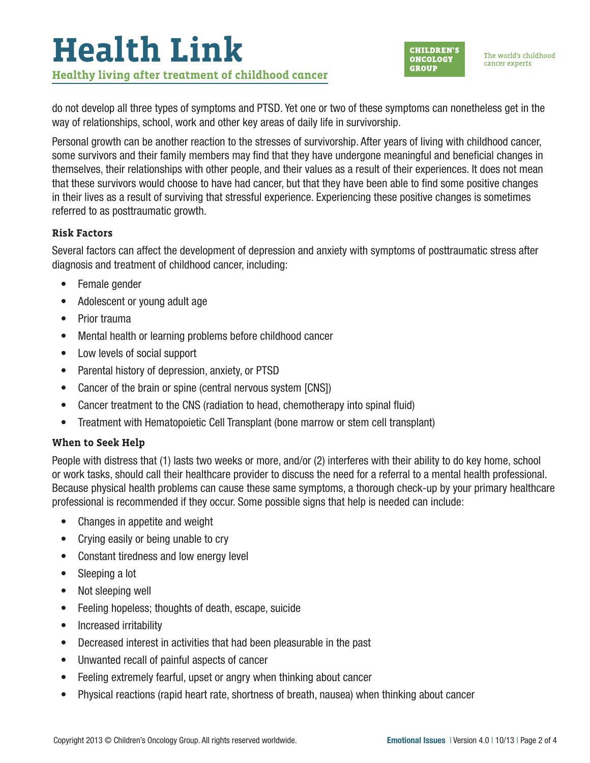# **Health Link Healthy living after treatment of childhood cancer**

**CHILDREN'S ONCOLOGY GROUP** 

The world's childhood cancer experts

do not develop all three types of symptoms and PTSD. Yet one or two of these symptoms can nonetheless get in the way of relationships, school, work and other key areas of daily life in survivorship.

Personal growth can be another reaction to the stresses of survivorship. After years of living with childhood cancer, some survivors and their family members may find that they have undergone meaningful and beneficial changes in themselves, their relationships with other people, and their values as a result of their experiences. It does not mean that these survivors would choose to have had cancer, but that they have been able to find some positive changes in their lives as a result of surviving that stressful experience. Experiencing these positive changes is sometimes referred to as posttraumatic growth.

#### **Risk Factors**

Several factors can affect the development of depression and anxiety with symptoms of posttraumatic stress after diagnosis and treatment of childhood cancer, including:

- Female gender
- Adolescent or young adult age
- Prior trauma
- Mental health or learning problems before childhood cancer
- Low levels of social support
- Parental history of depression, anxiety, or PTSD
- Cancer of the brain or spine (central nervous system [CNS])
- Cancer treatment to the CNS (radiation to head, chemotherapy into spinal fluid)
- Treatment with Hematopoietic Cell Transplant (bone marrow or stem cell transplant)

#### **When to Seek Help**

People with distress that (1) lasts two weeks or more, and/or (2) interferes with their ability to do key home, school or work tasks, should call their healthcare provider to discuss the need for a referral to a mental health professional. Because physical health problems can cause these same symptoms, a thorough check-up by your primary healthcare professional is recommended if they occur. Some possible signs that help is needed can include:

- Changes in appetite and weight
- Crying easily or being unable to cry
- Constant tiredness and low energy level
- Sleeping a lot
- Not sleeping well
- Feeling hopeless; thoughts of death, escape, suicide
- Increased irritability
- Decreased interest in activities that had been pleasurable in the past
- Unwanted recall of painful aspects of cancer
- Feeling extremely fearful, upset or angry when thinking about cancer
- Physical reactions (rapid heart rate, shortness of breath, nausea) when thinking about cancer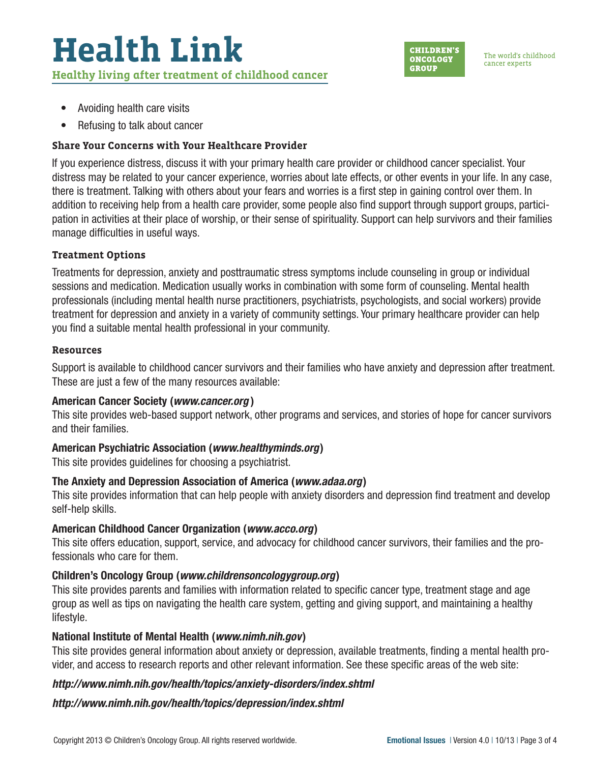## **Health Link Healthy living after treatment of childhood cancer**



The world's childhood cancer experts

- Avoiding health care visits
- Refusing to talk about cancer

#### **Share Your Concerns with Your Healthcare Provider**

If you experience distress, discuss it with your primary health care provider or childhood cancer specialist. Your distress may be related to your cancer experience, worries about late effects, or other events in your life. In any case, there is treatment. Talking with others about your fears and worries is a first step in gaining control over them. In addition to receiving help from a health care provider, some people also find support through support groups, participation in activities at their place of worship, or their sense of spirituality. Support can help survivors and their families manage difficulties in useful ways.

#### **Treatment Options**

Treatments for depression, anxiety and posttraumatic stress symptoms include counseling in group or individual sessions and medication. Medication usually works in combination with some form of counseling. Mental health professionals (including mental health nurse practitioners, psychiatrists, psychologists, and social workers) provide treatment for depression and anxiety in a variety of community settings. Your primary healthcare provider can help you find a suitable mental health professional in your community.

#### **Resources**

Support is available to childhood cancer survivors and their families who have anxiety and depression after treatment. These are just a few of the many resources available:

#### American Cancer Society (*[www.cancer.org](http://www.cancer.org)* )

This site provides web-based support network, other programs and services, and stories of hope for cancer survivors and their families.

#### American Psychiatric Association (*[www.healthyminds.org](http://www.healthyminds.org)*)

This site provides guidelines for choosing a psychiatrist.

#### The Anxiety and Depression Association of America (*[www.adaa.org](http://www.adaa.org)*)

This site provides information that can help people with anxiety disorders and depression find treatment and develop self-help skills.

#### American Childhood Cancer Organization (*[www.acco.org](http://www.acco.org)*)

This site offers education, support, service, and advocacy for childhood cancer survivors, their families and the professionals who care for them.

### Children's Oncology Group (*[www.childrensoncologygroup.org](http://www.childrensoncologygroup.org)*)

This site provides parents and families with information related to specific cancer type, treatment stage and age group as well as tips on navigating the health care system, getting and giving support, and maintaining a healthy lifestyle.

#### National Institute of Mental Health (*[www.nimh.nih.gov](http://www.nimh.nih.gov)*)

This site provides general information about anxiety or depression, available treatments, finding a mental health provider, and access to research reports and other relevant information. See these specific areas of the web site:

#### *[http://www.nimh.nih.gov/health/topics/anxiety-disorders/index.shtml](http://www.nimh.nih.gov/health/topics/anxiety-disorders/index.shtml )*

*[http://www.nimh.nih.gov/health/topics/depression/index.shtml](http://www.nimh.nih.gov/health/topics/depression/index.shtml )*